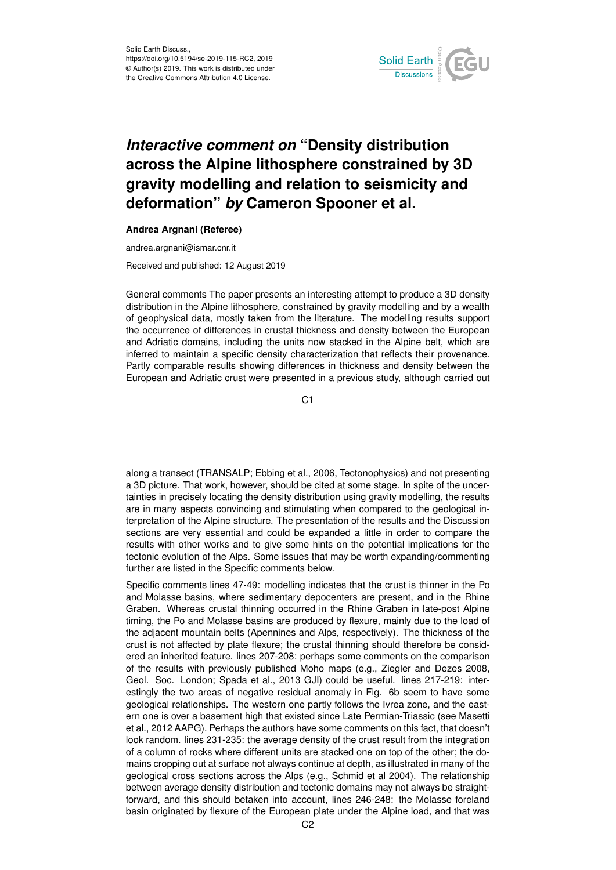

## *Interactive comment on* **"Density distribution across the Alpine lithosphere constrained by 3D gravity modelling and relation to seismicity and deformation"** *by* **Cameron Spooner et al.**

## **Andrea Argnani (Referee)**

andrea.argnani@ismar.cnr.it

Received and published: 12 August 2019

General comments The paper presents an interesting attempt to produce a 3D density distribution in the Alpine lithosphere, constrained by gravity modelling and by a wealth of geophysical data, mostly taken from the literature. The modelling results support the occurrence of differences in crustal thickness and density between the European and Adriatic domains, including the units now stacked in the Alpine belt, which are inferred to maintain a specific density characterization that reflects their provenance. Partly comparable results showing differences in thickness and density between the European and Adriatic crust were presented in a previous study, although carried out

C1

along a transect (TRANSALP; Ebbing et al., 2006, Tectonophysics) and not presenting a 3D picture. That work, however, should be cited at some stage. In spite of the uncertainties in precisely locating the density distribution using gravity modelling, the results are in many aspects convincing and stimulating when compared to the geological interpretation of the Alpine structure. The presentation of the results and the Discussion sections are very essential and could be expanded a little in order to compare the results with other works and to give some hints on the potential implications for the tectonic evolution of the Alps. Some issues that may be worth expanding/commenting further are listed in the Specific comments below.

Specific comments lines 47-49: modelling indicates that the crust is thinner in the Po and Molasse basins, where sedimentary depocenters are present, and in the Rhine Graben. Whereas crustal thinning occurred in the Rhine Graben in late-post Alpine timing, the Po and Molasse basins are produced by flexure, mainly due to the load of the adjacent mountain belts (Apennines and Alps, respectively). The thickness of the crust is not affected by plate flexure; the crustal thinning should therefore be considered an inherited feature. lines 207-208: perhaps some comments on the comparison of the results with previously published Moho maps (e.g., Ziegler and Dezes 2008, Geol. Soc. London; Spada et al., 2013 GJI) could be useful. lines 217-219: interestingly the two areas of negative residual anomaly in Fig. 6b seem to have some geological relationships. The western one partly follows the Ivrea zone, and the eastern one is over a basement high that existed since Late Permian-Triassic (see Masetti et al., 2012 AAPG). Perhaps the authors have some comments on this fact, that doesn't look random. lines 231-235: the average density of the crust result from the integration of a column of rocks where different units are stacked one on top of the other; the domains cropping out at surface not always continue at depth, as illustrated in many of the geological cross sections across the Alps (e.g., Schmid et al 2004). The relationship between average density distribution and tectonic domains may not always be straightforward, and this should betaken into account, lines 246-248: the Molasse foreland basin originated by flexure of the European plate under the Alpine load, and that was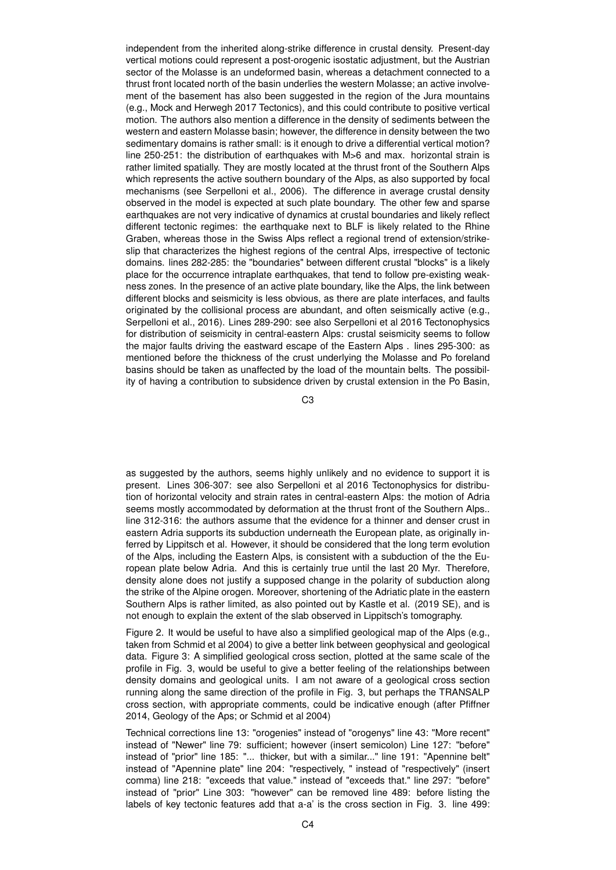independent from the inherited along-strike difference in crustal density. Present-day vertical motions could represent a post-orogenic isostatic adjustment, but the Austrian sector of the Molasse is an undeformed basin, whereas a detachment connected to a thrust front located north of the basin underlies the western Molasse; an active involvement of the basement has also been suggested in the region of the Jura mountains (e.g., Mock and Herwegh 2017 Tectonics), and this could contribute to positive vertical motion. The authors also mention a difference in the density of sediments between the western and eastern Molasse basin; however, the difference in density between the two sedimentary domains is rather small: is it enough to drive a differential vertical motion? line 250-251: the distribution of earthquakes with M>6 and max. horizontal strain is rather limited spatially. They are mostly located at the thrust front of the Southern Alps which represents the active southern boundary of the Alps, as also supported by focal mechanisms (see Serpelloni et al., 2006). The difference in average crustal density observed in the model is expected at such plate boundary. The other few and sparse earthquakes are not very indicative of dynamics at crustal boundaries and likely reflect different tectonic regimes: the earthquake next to BLF is likely related to the Rhine Graben, whereas those in the Swiss Alps reflect a regional trend of extension/strikeslip that characterizes the highest regions of the central Alps, irrespective of tectonic domains. lines 282-285: the "boundaries" between different crustal "blocks" is a likely place for the occurrence intraplate earthquakes, that tend to follow pre-existing weakness zones. In the presence of an active plate boundary, like the Alps, the link between different blocks and seismicity is less obvious, as there are plate interfaces, and faults originated by the collisional process are abundant, and often seismically active (e.g., Serpelloni et al., 2016). Lines 289-290: see also Serpelloni et al 2016 Tectonophysics for distribution of seismicity in central-eastern Alps: crustal seismicity seems to follow the major faults driving the eastward escape of the Eastern Alps . lines 295-300: as mentioned before the thickness of the crust underlying the Molasse and Po foreland basins should be taken as unaffected by the load of the mountain belts. The possibility of having a contribution to subsidence driven by crustal extension in the Po Basin,

C3

as suggested by the authors, seems highly unlikely and no evidence to support it is present. Lines 306-307: see also Serpelloni et al 2016 Tectonophysics for distribution of horizontal velocity and strain rates in central-eastern Alps: the motion of Adria seems mostly accommodated by deformation at the thrust front of the Southern Alps.. line 312-316: the authors assume that the evidence for a thinner and denser crust in eastern Adria supports its subduction underneath the European plate, as originally inferred by Lippitsch et al. However, it should be considered that the long term evolution of the Alps, including the Eastern Alps, is consistent with a subduction of the the European plate below Adria. And this is certainly true until the last 20 Myr. Therefore, density alone does not justify a supposed change in the polarity of subduction along the strike of the Alpine orogen. Moreover, shortening of the Adriatic plate in the eastern Southern Alps is rather limited, as also pointed out by Kastle et al. (2019 SE), and is not enough to explain the extent of the slab observed in Lippitsch's tomography.

Figure 2. It would be useful to have also a simplified geological map of the Alps (e.g., taken from Schmid et al 2004) to give a better link between geophysical and geological data. Figure 3: A simplified geological cross section, plotted at the same scale of the profile in Fig. 3, would be useful to give a better feeling of the relationships between density domains and geological units. I am not aware of a geological cross section running along the same direction of the profile in Fig. 3, but perhaps the TRANSALP cross section, with appropriate comments, could be indicative enough (after Pfiffner 2014, Geology of the Aps; or Schmid et al 2004)

Technical corrections line 13: "orogenies" instead of "orogenys" line 43: "More recent" instead of "Newer" line 79: sufficient; however (insert semicolon) Line 127: "before" instead of "prior" line 185: "... thicker, but with a similar..." line 191: "Apennine belt" instead of "Apennine plate" line 204: "respectively, " instead of "respectively" (insert comma) line 218: "exceeds that value." instead of "exceeds that." line 297: "before" instead of "prior" Line 303: "however" can be removed line 489: before listing the labels of key tectonic features add that a-a' is the cross section in Fig. 3. line 499: